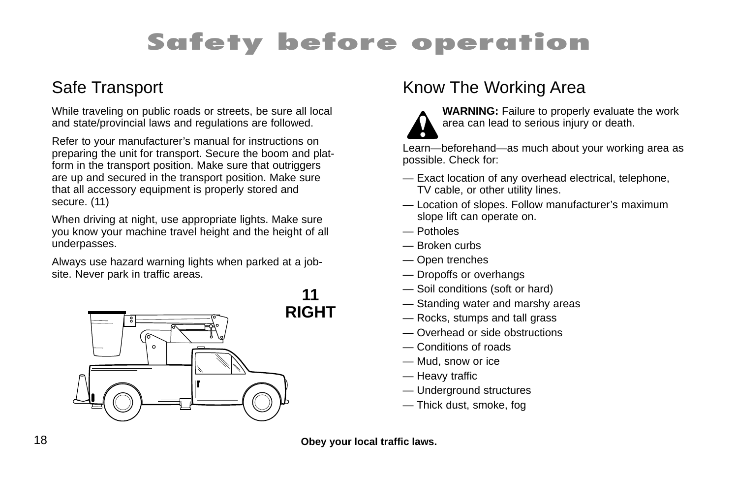# **Safety before operation**

#### Safe Transport

While traveling on public roads or streets, be sure all local and state/provincial laws and regulations are followed.

Refer to your manufacturer's manual for instructions on preparing the unit for transport. Secure the boom and platform in the transport position. Make sure that outriggers are up and secured in the transport position. Make sure that all accessory equipment is properly stored and secure. (11)

When driving at night, use appropriate lights. Make sure you know your machine travel height and the height of all underpasses.

Always use hazard warning lights when parked at a jobsite. Never park in traffic areas.



### Know The Working Area



**WARNING:** Failure to properly evaluate the work area can lead to serious injury or death.

Learn—beforehand—as much about your working area as possible. Check for:

- Exact location of any overhead electrical, telephone, TV cable, or other utility lines.
- Location of slopes. Follow manufacturer's maximum slope lift can operate on.
- Potholes
- Broken curbs
- Open trenches
- Dropoffs or overhangs
- Soil conditions (soft or hard)
- Standing water and marshy areas
- Rocks, stumps and tall grass
- Overhead or side obstructions
- Conditions of roads
- Mud, snow or ice
- Heavy traffic
- Underground structures
- Thick dust, smoke, fog

18 **Obey your local traffic laws.**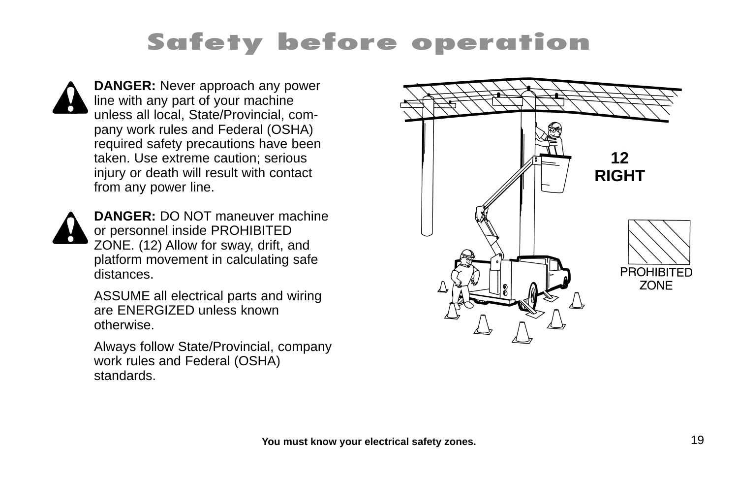# **Safety before operation**



**DANGER:** Never approach any power line with any part of your machine unless all local, State/Provincial, company work rules and Federal (OSHA) required safety precautions have been taken. Use extreme caution; serious injury or death will result with contact from any power line.



**DANGER:** DO NOT maneuver machine or personnel inside PROHIBITED ZONE. (12) Allow for sway, drift, and platform movement in calculating safe distances.

ASSUME all electrical parts and wiring are ENERGIZED unless known otherwise.

Always follow State/Provincial, company work rules and Federal (OSHA) standards.

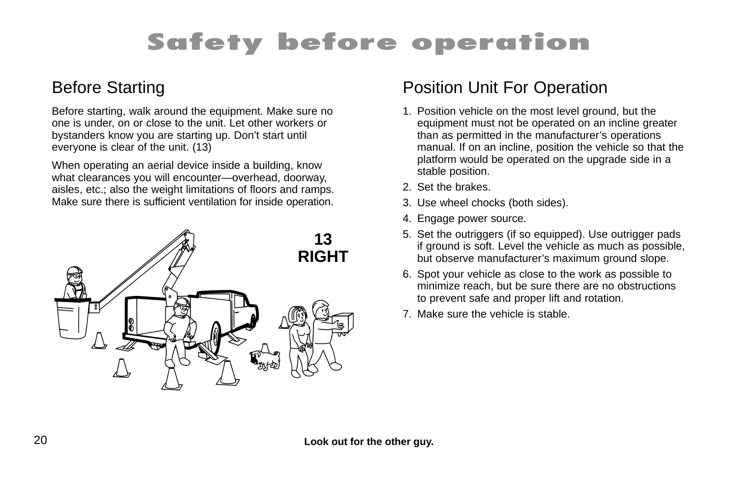# **Safety before operation**

#### Before Starting

Before starting, walk around the equipment. Make sure no one is under, on or close to the unit. Let other workers or bystanders know you are starting up. Don't start until everyone is clear of the unit. (13)

When operating an aerial device inside a building, know what clearances you will encounter—overhead, doorway, aisles, etc.; also the weight limitations of floors and ramps. Make sure there is sufficient ventilation for inside operation.



#### Position Unit For Operation

- 1. Position vehicle on the most level ground, but the equipment must not be operated on an incline greater than as permitted in the manufacturer's operations manual. If on an incline, position the vehicle so that the platform would be operated on the upgrade side in a stable position.
- 2. Set the brakes.
- 3. Use wheel chocks (both sides).
- 4. Engage power source.
- 5. Set the outriggers (if so equipped). Use outrigger pads if ground is soft. Level the vehicle as much as possible, but observe manufacturer's maximum ground slope.
- 6. Spot your vehicle as close to the work as possible to minimize reach, but be sure there are no obstructions to prevent safe and proper lift and rotation.
- 7. Make sure the vehicle is stable.